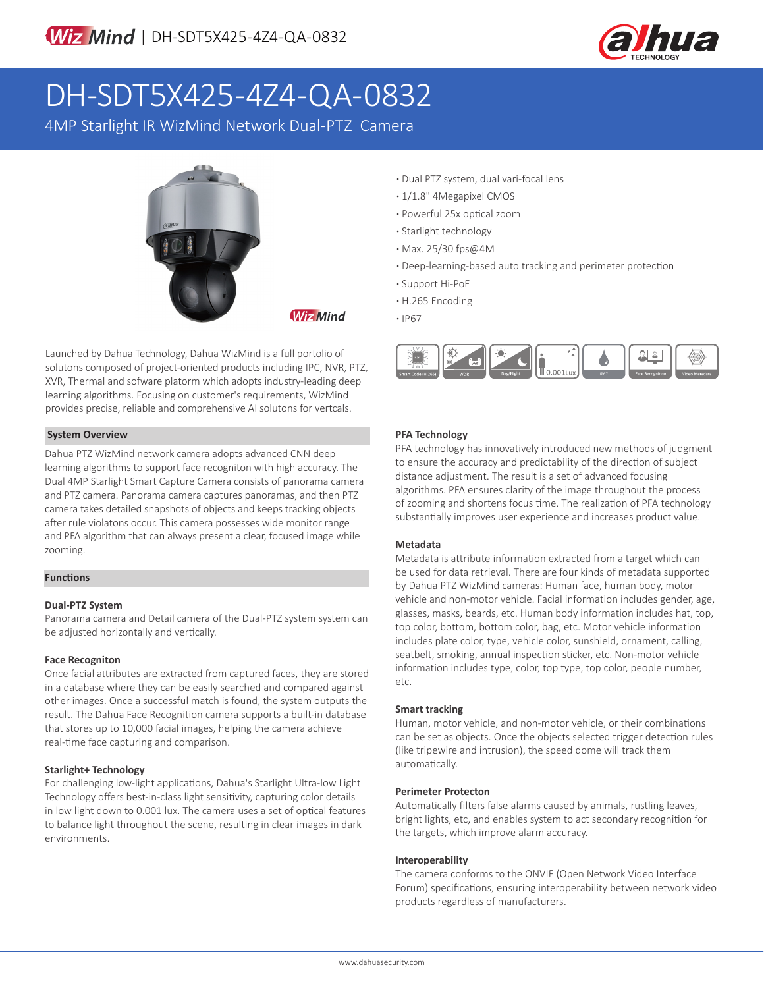

# DH-SDT5X425-4Z4-QA-0832

4MP Starlight IR WizMind Network Dual-PTZ Camera



**Wiz Mind** 

Launched by Dahua Technology, Dahua WizMind is a full portolio of solutons composed of project-oriented products including IPC, NVR, PTZ, XVR, Thermal and sofware platorm which adopts industry-leading deep learning algorithms. Focusing on customer's requirements, WizMind provides precise, reliable and comprehensive AI solutons for vertcals.

### **System Overview**

Dahua PTZ WizMind network camera adopts advanced CNN deep learning algorithms to support face recogniton with high accuracy. The Dual 4MP Starlight Smart Capture Camera consists of panorama camera and PTZ camera. Panorama camera captures panoramas, and then PTZ camera takes detailed snapshots of objects and keeps tracking objects after rule violatons occur. This camera possesses wide monitor range and PFA algorithm that can always present a clear, focused image while zooming.

### **Functions**

#### **Dual-PTZ System**

Panorama camera and Detail camera of the Dual-PTZ system system can be adjusted horizontally and vertically.

#### **Face Recogniton**

Once facial attributes are extracted from captured faces, they are stored in a database where they can be easily searched and compared against other images. Once a successful match is found, the system outputs the result. The Dahua Face Recognition camera supports a built-in database that stores up to 10,000 facial images, helping the camera achieve real-time face capturing and comparison.

#### **Starlight+ Technology**

For challenging low-light applications, Dahua's Starlight Ultra-low Light Technology offers best-in-class light sensitivity, capturing color details in low light down to 0.001 lux. The camera uses a set of optical features to balance light throughout the scene, resulting in clear images in dark environments.

- **·** Dual PTZ system, dual vari-focal lens
- **·** 1/1.8" 4Megapixel CMOS
- **·** Powerful 25x optical zoom
- **·** Starlight technology
- **·** Max. 25/30 fps@4M
- **·** Deep-learning-based auto tracking and perimeter protection
- **·** Support Hi-PoE
- **·** H.265 Encoding
- **·** IP67



#### **PFA Technology**

PFA technology has innovatively introduced new methods of judgment to ensure the accuracy and predictability of the direction of subject distance adjustment. The result is a set of advanced focusing algorithms. PFA ensures clarity of the image throughout the process of zooming and shortens focus time. The realization of PFA technology substantially improves user experience and increases product value.

#### **Metadata**

Metadata is attribute information extracted from a target which can be used for data retrieval. There are four kinds of metadata supported by Dahua PTZ WizMind cameras: Human face, human body, motor vehicle and non-motor vehicle. Facial information includes gender, age, glasses, masks, beards, etc. Human body information includes hat, top, top color, bottom, bottom color, bag, etc. Motor vehicle information includes plate color, type, vehicle color, sunshield, ornament, calling, seatbelt, smoking, annual inspection sticker, etc. Non-motor vehicle information includes type, color, top type, top color, people number, etc.

#### **Smart tracking**

Human, motor vehicle, and non-motor vehicle, or their combinations can be set as objects. Once the objects selected trigger detection rules (like tripewire and intrusion), the speed dome will track them automatically.

#### **Perimeter Protecton**

Automatically filters false alarms caused by animals, rustling leaves, bright lights, etc, and enables system to act secondary recognition for the targets, which improve alarm accuracy.

#### **Interoperability**

The camera conforms to the ONVIF (Open Network Video Interface Forum) specifications, ensuring interoperability between network video products regardless of manufacturers.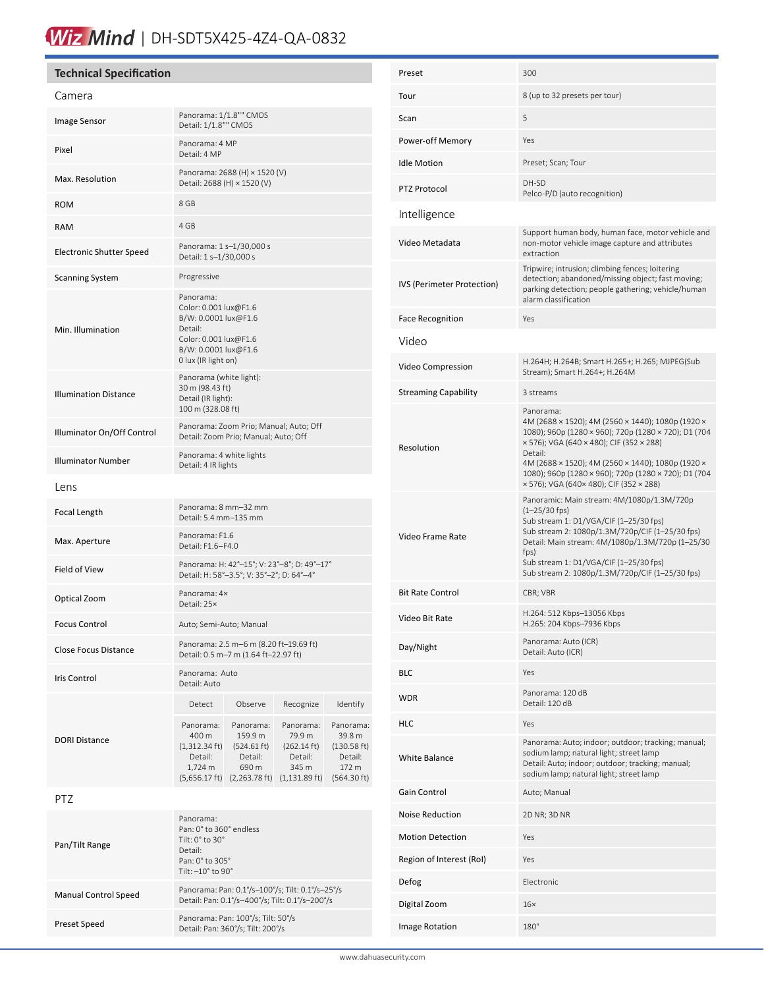# Wiz Mind | DH-SDT5X425-4Z4-QA-0832

### **Technical Specification**

| Camera                          |                                                                                                                                               |                                                                                              |                                                                                              |                                                                                 |
|---------------------------------|-----------------------------------------------------------------------------------------------------------------------------------------------|----------------------------------------------------------------------------------------------|----------------------------------------------------------------------------------------------|---------------------------------------------------------------------------------|
| Image Sensor                    | Panorama: 1/1.8"" CMOS<br>Detail: 1/1.8"" CMOS                                                                                                |                                                                                              |                                                                                              |                                                                                 |
| Pixel                           | Panorama: 4 MP<br>Detail: 4 MP                                                                                                                |                                                                                              |                                                                                              |                                                                                 |
| Max. Resolution                 | Panorama: 2688 (H) × 1520 (V)<br>Detail: 2688 (H) × 1520 (V)                                                                                  |                                                                                              |                                                                                              |                                                                                 |
| <b>ROM</b>                      | 8 GB                                                                                                                                          |                                                                                              |                                                                                              |                                                                                 |
| <b>RAM</b>                      | 4 GB                                                                                                                                          |                                                                                              |                                                                                              |                                                                                 |
| <b>Electronic Shutter Speed</b> | Detail: 1 s-1/30,000 s                                                                                                                        | Panorama: 1 s-1/30,000 s                                                                     |                                                                                              |                                                                                 |
| <b>Scanning System</b>          | Progressive                                                                                                                                   |                                                                                              |                                                                                              |                                                                                 |
| Min. Illumination               | Panorama:<br>Color: 0.001 lux@F1.6<br>B/W: 0.0001 lux@F1.6<br>Detail:<br>Color: 0.001 lux@F1.6<br>B/W: 0.0001 lux@F1.6<br>0 lux (IR light on) |                                                                                              |                                                                                              |                                                                                 |
| <b>Illumination Distance</b>    | Panorama (white light):<br>30 m (98.43 ft)<br>Detail (IR light):<br>100 m (328.08 ft)                                                         |                                                                                              |                                                                                              |                                                                                 |
| Illuminator On/Off Control      | Panorama: Zoom Prio; Manual; Auto; Off<br>Detail: Zoom Prio; Manual; Auto; Off                                                                |                                                                                              |                                                                                              |                                                                                 |
| <b>Illuminator Number</b>       | Panorama: 4 white lights<br>Detail: 4 IR lights                                                                                               |                                                                                              |                                                                                              |                                                                                 |
| Lens                            |                                                                                                                                               |                                                                                              |                                                                                              |                                                                                 |
| Focal Length                    | Panorama: 8 mm-32 mm<br>Detail: 5.4 mm-135 mm                                                                                                 |                                                                                              |                                                                                              |                                                                                 |
| Max. Aperture                   | Panorama: F1.6<br>Detail: F1.6-F4.0                                                                                                           |                                                                                              |                                                                                              |                                                                                 |
| Field of View                   | Panorama: H: 42°-15°; V: 23°-8°; D: 49°-17°<br>Detail: H: 58°-3.5°; V: 35°-2°; D: 64°-4°                                                      |                                                                                              |                                                                                              |                                                                                 |
| Optical Zoom                    | Panorama: 4x<br>Detail: 25×                                                                                                                   |                                                                                              |                                                                                              |                                                                                 |
| <b>Focus Control</b>            | Auto; Semi-Auto; Manual                                                                                                                       |                                                                                              |                                                                                              |                                                                                 |
| Close Focus Distance            | Panorama: 2.5 m-6 m (8.20 ft-19.69 ft)<br>Detail: 0.5 m-7 m (1.64 ft-22.97 ft)                                                                |                                                                                              |                                                                                              |                                                                                 |
| <b>Iris Control</b>             | Panorama: Auto<br>Detail: Auto                                                                                                                |                                                                                              |                                                                                              |                                                                                 |
|                                 | Detect                                                                                                                                        | Observe                                                                                      | Recognize                                                                                    | Identify                                                                        |
| <b>DORI Distance</b>            | Panorama:<br>400 m<br>$(1,312.34 \text{ ft})$<br>Detail:<br>1,724 m<br>$(5,656.17 \text{ ft})$                                                | Panorama:<br>159.9 m<br>$(524.61 \text{ ft})$<br>Detail:<br>690 m<br>$(2,263.78 \text{ ft})$ | Panorama:<br>79.9 m<br>$(262.14 \text{ ft})$<br>Detail:<br>345 m<br>$(1, 131.89 \text{ ft})$ | Panorama:<br>39.8 m<br>$(130.58 \text{ ft})$<br>Detail:<br>172 m<br>(564.30 ft) |
| PTZ                             |                                                                                                                                               |                                                                                              |                                                                                              |                                                                                 |
| Pan/Tilt Range                  | Panorama:<br>Pan: 0° to 360° endless<br>Tilt: 0° to 30°<br>Detail:<br>Pan: 0° to 305°<br>Tilt: -10° to 90°                                    |                                                                                              |                                                                                              |                                                                                 |
| <b>Manual Control Speed</b>     | Panorama: Pan: 0.1°/s-100°/s; Tilt: 0.1°/s-25°/s<br>Detail: Pan: 0.1%-400%; Tilt: 0.1%-200%                                                   |                                                                                              |                                                                                              |                                                                                 |
| Preset Speed                    | Panorama: Pan: 100°/s; Tilt: 50°/s<br>Detail: Pan: 360°/s; Tilt: 200°/s                                                                       |                                                                                              |                                                                                              |                                                                                 |

| Preset                      | 300                                                                                                                                                                                                                                                                                                                                   |
|-----------------------------|---------------------------------------------------------------------------------------------------------------------------------------------------------------------------------------------------------------------------------------------------------------------------------------------------------------------------------------|
| Tour                        | 8 (up to 32 presets per tour)                                                                                                                                                                                                                                                                                                         |
| Scan                        | 5                                                                                                                                                                                                                                                                                                                                     |
| Power-off Memory            | Yes                                                                                                                                                                                                                                                                                                                                   |
| <b>Idle Motion</b>          | Preset; Scan; Tour                                                                                                                                                                                                                                                                                                                    |
| PTZ Protocol                | DH-SD<br>Pelco-P/D (auto recognition)                                                                                                                                                                                                                                                                                                 |
| Intelligence                |                                                                                                                                                                                                                                                                                                                                       |
| Video Metadata              | Support human body, human face, motor vehicle and<br>non-motor vehicle image capture and attributes<br>extraction                                                                                                                                                                                                                     |
| IVS (Perimeter Protection)  | Tripwire; intrusion; climbing fences; loitering<br>detection; abandoned/missing object; fast moving;<br>parking detection; people gathering; vehicle/human<br>alarm classification                                                                                                                                                    |
| <b>Face Recognition</b>     | Yes                                                                                                                                                                                                                                                                                                                                   |
| Video                       |                                                                                                                                                                                                                                                                                                                                       |
| Video Compression           | H.264H; H.264B; Smart H.265+; H.265; MJPEG(Sub<br>Stream); Smart H.264+; H.264M                                                                                                                                                                                                                                                       |
| <b>Streaming Capability</b> | 3 streams                                                                                                                                                                                                                                                                                                                             |
| Resolution                  | Panorama:<br>4M (2688 × 1520); 4M (2560 × 1440); 1080p (1920 ×<br>1080); 960p (1280 × 960); 720p (1280 × 720); D1 (704<br>× 576); VGA (640 × 480); CIF (352 × 288)<br>Detail:<br>4M (2688 × 1520); 4M (2560 × 1440); 1080p (1920 ×<br>1080); 960p (1280 × 960); 720p (1280 × 720); D1 (704<br>× 576); VGA (640× 480); CIF (352 × 288) |
| Video Frame Rate            | Panoramic: Main stream: 4M/1080p/1.3M/720p<br>(1–25/30 fps)<br>Sub stream 1: D1/VGA/CIF (1-25/30 fps)<br>Sub stream 2: 1080p/1.3M/720p/CIF (1-25/30 fps)<br>Detail: Main stream: 4M/1080p/1.3M/720p (1-25/30<br>fps)<br>Sub stream 1: D1/VGA/CIF (1-25/30 fps)<br>Sub stream 2: 1080p/1.3M/720p/CIF (1-25/30 fps)                     |
| <b>Bit Rate Control</b>     | CBR; VBR                                                                                                                                                                                                                                                                                                                              |
| Video Bit Rate              | H.264: 512 Kbps-13056 Kbps<br>H.265: 204 Kbps-7936 Kbps                                                                                                                                                                                                                                                                               |
| Day/Night                   | Panorama: Auto (ICR)<br>Detail: Auto (ICR)                                                                                                                                                                                                                                                                                            |
| <b>BLC</b>                  | Yes                                                                                                                                                                                                                                                                                                                                   |
| <b>WDR</b>                  | Panorama: 120 dB<br>Detail: 120 dB                                                                                                                                                                                                                                                                                                    |
| HLC                         | Yes                                                                                                                                                                                                                                                                                                                                   |
| <b>White Balance</b>        | Panorama: Auto; indoor; outdoor; tracking; manual;<br>sodium lamp; natural light; street lamp<br>Detail: Auto; indoor; outdoor; tracking; manual;<br>sodium lamp; natural light; street lamp                                                                                                                                          |
| Gain Control                | Auto; Manual                                                                                                                                                                                                                                                                                                                          |
| Noise Reduction             | 2D NR; 3D NR                                                                                                                                                                                                                                                                                                                          |
| <b>Motion Detection</b>     | Yes                                                                                                                                                                                                                                                                                                                                   |
| Region of Interest (RoI)    | Yes                                                                                                                                                                                                                                                                                                                                   |
| Defog                       | Electronic                                                                                                                                                                                                                                                                                                                            |
| Digital Zoom                | 16x                                                                                                                                                                                                                                                                                                                                   |
| Image Rotation              | $180^\circ$                                                                                                                                                                                                                                                                                                                           |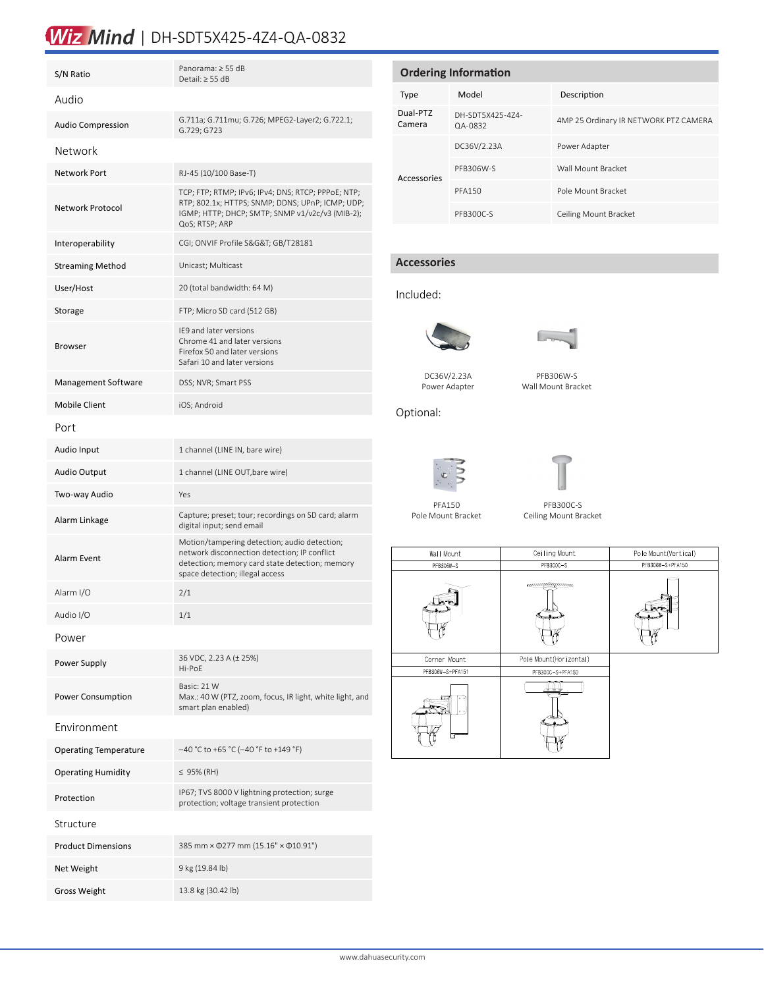# Wiz Mind | DH-SDT5X425-4Z4-QA-0832

| S/N Ratio                    | Panorama: ≥ 55 dB<br>Detail: $\geq$ 55 dB                                                                                                                                         |
|------------------------------|-----------------------------------------------------------------------------------------------------------------------------------------------------------------------------------|
| Audio                        |                                                                                                                                                                                   |
| <b>Audio Compression</b>     | G.711a; G.711mu; G.726; MPEG2-Layer2; G.722.1;<br>G.729; G723                                                                                                                     |
| Network                      |                                                                                                                                                                                   |
| Network Port                 | RJ-45 (10/100 Base-T)                                                                                                                                                             |
| Network Protocol             | TCP; FTP; RTMP; IPv6; IPv4; DNS; RTCP; PPPoE; NTP;<br>RTP; 802.1x; HTTPS; SNMP; DDNS; UPnP; ICMP; UDP;<br>IGMP; HTTP; DHCP; SMTP; SNMP v1/v2c/v3 (MIB-2);<br>QoS; RTSP; ARP       |
| Interoperability             | CGI; ONVIF Profile S&G&T GB/T28181                                                                                                                                                |
| <b>Streaming Method</b>      | Unicast; Multicast                                                                                                                                                                |
| User/Host                    | 20 (total bandwidth: 64 M)                                                                                                                                                        |
| Storage                      | FTP; Micro SD card (512 GB)                                                                                                                                                       |
| <b>Browser</b>               | IE9 and later versions<br>Chrome 41 and later versions<br>Firefox 50 and later versions<br>Safari 10 and later versions                                                           |
| Management Software          | DSS; NVR; Smart PSS                                                                                                                                                               |
| <b>Mobile Client</b>         | iOS; Android                                                                                                                                                                      |
| Port                         |                                                                                                                                                                                   |
| Audio Input                  | 1 channel (LINE IN, bare wire)                                                                                                                                                    |
| <b>Audio Output</b>          | 1 channel (LINE OUT, bare wire)                                                                                                                                                   |
| Two-way Audio                | Yes                                                                                                                                                                               |
| Alarm Linkage                | Capture; preset; tour; recordings on SD card; alarm<br>digital input; send email                                                                                                  |
| Alarm Event                  | Motion/tampering detection; audio detection;<br>network disconnection detection; IP conflict<br>detection; memory card state detection; memory<br>space detection; illegal access |
| Alarm I/O                    | 2/1                                                                                                                                                                               |
| Audio I/O                    | 1/1                                                                                                                                                                               |
| Power                        |                                                                                                                                                                                   |
| Power Supply                 | 36 VDC, 2.23 A (± 25%)<br>Hi-PoF                                                                                                                                                  |
| Power Consumption            | Basic: 21 W<br>Max.: 40 W (PTZ, zoom, focus, IR light, white light, and<br>smart plan enabled)                                                                                    |
| Environment                  |                                                                                                                                                                                   |
| <b>Operating Temperature</b> | -40 °C to +65 °C (-40 °F to +149 °F)                                                                                                                                              |
| <b>Operating Humidity</b>    | ≤ 95% (RH)                                                                                                                                                                        |
| Protection                   | IP67; TVS 8000 V lightning protection; surge<br>protection; voltage transient protection                                                                                          |
| Structure                    |                                                                                                                                                                                   |
| <b>Product Dimensions</b>    | 385 mm × $\Phi$ 277 mm (15.16" × $\Phi$ 10.91")                                                                                                                                   |
| Net Weight                   | 9 kg (19.84 lb)                                                                                                                                                                   |
| Gross Weight                 | 13.8 kg (30.42 lb)                                                                                                                                                                |

| <b>Ordering Information</b> |                             |                                       |  |  |  |
|-----------------------------|-----------------------------|---------------------------------------|--|--|--|
| Type                        | Model                       | Description                           |  |  |  |
| Dual-PTZ<br>Camera          | DH-SDT5X425-474-<br>QA-0832 | 4MP 25 Ordinary IR NETWORK PTZ CAMERA |  |  |  |
| Accessories                 | DC36V/2.23A                 | Power Adapter                         |  |  |  |
|                             | PFB306W-S                   | Wall Mount Bracket                    |  |  |  |
|                             | <b>PFA150</b>               | Pole Mount Bracket                    |  |  |  |
|                             | PFB300C-S                   | Ceiling Mount Bracket                 |  |  |  |

#### **Accessories**

#### Included:



DC36V/2.23A Power Adapter



PFB306W-S Wall Mount Bracket

Optional:





PFA150 Pole Mount Bracket

PFB300C-S Ceiling Mount Bracket